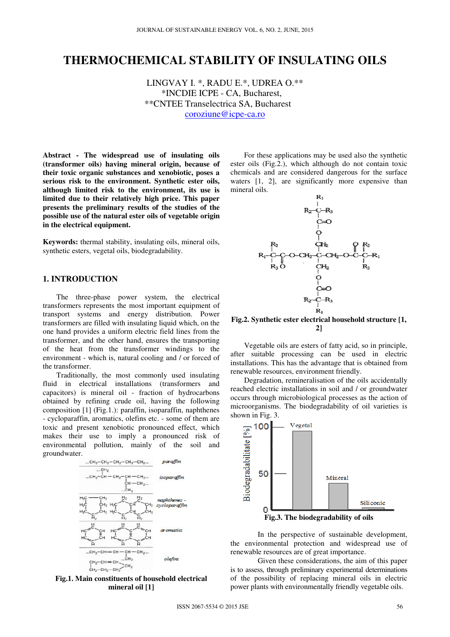# **THERMOCHEMICAL STABILITY OF INSULATING OILS**

LINGVAY I. \*, RADU E.\*, UDREA O.\*\* \*INCDIE ICPE - CA, Bucharest, \*\*CNTEE Transelectrica SA, Bucharest coroziune@icpe-ca.ro

**Abstract - The widespread use of insulating oils (transformer oils) having mineral origin, because of their toxic organic substances and xenobiotic, poses a serious risk to the environment. Synthetic ester oils, although limited risk to the environment, its use is limited due to their relatively high price. This paper presents the preliminary results of the studies of the possible use of the natural ester oils of vegetable origin in the electrical equipment.** 

**Keywords:** thermal stability, insulating oils, mineral oils, synthetic esters, vegetal oils, biodegradability.

# **1. INTRODUCTION**

The three-phase power system, the electrical transformers represents the most important equipment of transport systems and energy distribution. Power transformers are filled with insulating liquid which, on the one hand provides a uniform electric field lines from the transformer, and the other hand, ensures the transporting of the heat from the transformer windings to the environment - which is, natural cooling and / or forced of the transformer.

Traditionally, the most commonly used insulating fluid in electrical installations (transformers and capacitors) is mineral oil - fraction of hydrocarbons obtained by refining crude oil, having the following composition [1] (Fig.1.): paraffin, isoparaffin, naphthenes - cycloparaffin, aromatics, olefins etc. - some of them are toxic and present xenobiotic pronounced effect, which makes their use to imply a pronounced risk of environmental pollution, mainly of the soil and groundwater.



**Fig.1. Main constituents of household electrical mineral oil [1]** 

For these applications may be used also the synthetic ester oils (Fig.2.), which although do not contain toxic chemicals and are considered dangerous for the surface waters [1, 2], are significantly more expensive than mineral oils.



**Fig.2. Synthetic ester electrical household structure [1, 2]** 

Vegetable oils are esters of fatty acid, so in principle, after suitable processing can be used in electric installations. This has the advantage that is obtained from renewable resources, environment friendly.

Degradation, remineralisation of the oils accidentally reached electric installations in soil and / or groundwater occurs through microbiological processes as the action of microorganisms. The biodegradability of oil varieties is shown in Fig. 3.



**Fig.3. The biodegradability of oils** 

In the perspective of sustainable development, the environmental protection and widespread use of renewable resources are of great importance.

Given these considerations, the aim of this paper is to assess, through preliminary experimental determinations of the possibility of replacing mineral oils in electric power plants with environmentally friendly vegetable oils.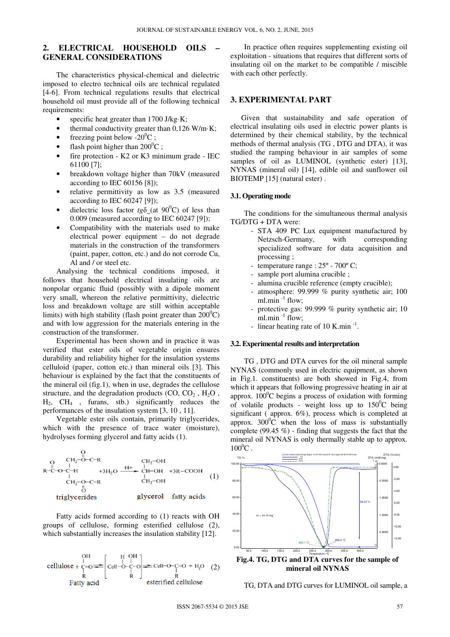# **2. ELECTRICAL HOUSEHOLD OILS – GENERAL CONSIDERATIONS**

The characteristics physical-chemical and dielectric imposed to electro technical oils are technical regulated [4-6]. From technical regulations results that electrical household oil must provide all of the following technical requirements:

- specific heat greater than  $1700$  J/kg·K;
- thermal conductivity greater than  $0,126$  W/m·K;
- freezing point below  $-20^0C$ ;
- flash point higher than  $200^{\circ}$ C ;
- fire protection K2 or K3 minimum grade IEC 61100 [7];
- breakdown voltage higher than 70kV (measured according to IEC 60156 [8]);
- relative permittivity as low as 3.5 (measured according to IEC 60247 [9]);
- dielectric loss factor  $tg\delta$  (at 90<sup>0</sup>C) of less than 0.009 (measured according to IEC 60247 [9]);
- Compatibility with the materials used to make electrical power equipment – do not degrade materials in the construction of the transformers (paint, paper, cotton, etc.) and do not corrode Cu, Al and / or steel etc.

Analysing the technical conditions imposed, it follows that household electrical insulating oils are nonpolar organic fluid (possibly with a dipole moment very small, whereon the relative permittivity, dielectric loss and breakdown voltage are still within acceptable limits) with high stability (flash point greater than  $200^{\circ}$ C) and with low aggression for the materials entering in the construction of the transformer.

Experimental has been shown and in practice it was verified that ester oils of vegetable origin ensures durability and reliability higher for the insulation systems celluloid (paper, cotton etc.) than mineral oils [3]. This behaviour is explained by the fact that the constituents of the mineral oil (fig.1), when in use, degrades the cellulose structure, and the degradation products  $(CO, CO<sub>2</sub>, H<sub>2</sub>O$ ,  $H_2$ ,  $CH_4$ , furans, stb.) significantly reduces the performances of the insulation system [3, 10 , 11].

Vegetable ester oils contain, primarily triglycerides, which with the presence of trace water (moisture), hydrolyses forming glycerol and fatty acids (1).

$$
\begin{array}{ccc}\n & \text{C}_{12}\text{-O-C-R} & \text{CH}_2\text{-OH} \\
\text{R-C-O-C-H} & +3\text{H}_2\text{O} & \xrightarrow{\text{H}+}\n & \text{CH}-\text{OH} & +3\text{R-COOH} \\
 & \text{CH}_2\text{-O-C-R} & & \text{CH}_2\text{-OH} & \\
 & \text{U} & & \text{CH}_2\text{-OH} & \\
 & \text{triglycerides} & & \text{glycerol} & \text{fatty acids}\n\end{array}\n\tag{1}
$$

Fatty acids formed according to (1) reacts with OH groups of cellulose, forming esterified cellulose (2), which substantially increases the insulation stability [12].

cellulose + 
$$
\frac{OH}{C=O}
$$
  
\n $\frac{OH}{R}$   
\n $\frac{OH}{C=Cl-O-C-O}$   
\n $\frac{OH}{C=O}$   
\n $\frac{OH}{C=O-C}$   
\n $\frac{OH}{C=O-C=O}$   
\n $\frac{OH}{C=O-C=O}$   
\n $\frac{OH}{R}$   
\n $\frac{OH}{C=O-C=O}$   
\n $\frac{OH}{R}$ 

In practice often requires supplementing existing oil exploitation - situations that requires that different sorts of insulating oil on the market to be compatible / miscible with each other perfectly.

## **3. EXPERIMENTAL PART**

Given that sustainability and safe operation of electrical insulating oils used in electric power plants is determined by their chemical stability, by the technical methods of thermal analysis (TG , DTG and DTA), it was studied the ramping behaviour in air samples of some samples of oil as LUMINOL (synthetic ester) [13], NYNAS (mineral oil) [14], edible oil and sunflower oil BIOTEMP [15] (natural ester).

#### **3.1. Operating mode**

The conditions for the simultaneous thermal analysis TG/DTG + DTA were:

- STA 409 PC Lux equipment manufactured by Netzsch-Germany, with corresponding specialized software for data acquisition and processing ;
- temperature range : 25º 700º C;
- sample port alumina crucible ;
- alumina crucible reference (empty crucible);
- atmosphere: 99.999 % purity synthetic air; 100 ml.min $^{-1}$  flow;
- protective gas: 99.999 % purity synthetic air; 10 ml.min $^{-1}$  flow;
- linear heating rate of 10 K.min<sup>-1</sup>.

#### **3.2. Experimental results and interpretation**

TG , DTG and DTA curves for the oil mineral sample NYNAS (commonly used in electric equipment, as shown in Fig.1. constituents) are both showed in Fig.4, from which it appears that following progressive heating in air at approx.  $100^{\circ}$ C begins a process of oxidation with forming of volatile products - weight loss up to  $150^{\circ}$ C being significant ( approx. 6%), process which is completed at approx.  $300^{\circ}$ C when the loss of mass is substantially complete (99.45  $\%$ ) - finding that suggests the fact that the mineral oil NYNAS is only thermally stable up to approx.  $100^{\circ}$ C.



TG, DTA and DTG curves for LUMINOL oil sample, a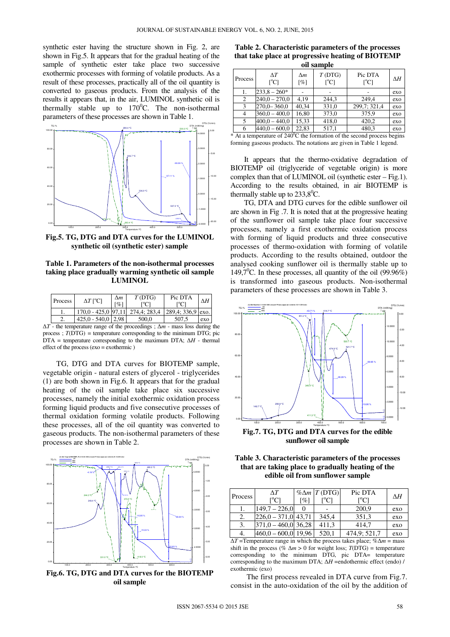synthetic ester having the structure shown in Fig. 2, are shown in Fig.5. It appears that for the gradual heating of the sample of synthetic ester take place two successive exothermic processes with forming of volatile products. As a result of these processes, practically all of the oil quantity is converted to gaseous products. From the analysis of the results it appears that, in the air, LUMINOL synthetic oil is thermally stable up to  $170^{\circ}$ C. The non-isothermal parameters of these processes are shown in Table 1.



**Fig.5. TG, DTG and DTA curves for the LUMINOL synthetic oil (synthetic ester) sample** 

### **Table 1. Parameters of the non-isothermal processes taking place gradually warming synthetic oil sample LUMINOL**

| Process | $\Delta T$ [°C]                  | Δm<br>$\lceil \% \rceil$ | T(DTG) | Pic DTA            | ΛH  |
|---------|----------------------------------|--------------------------|--------|--------------------|-----|
|         | 170.0 - 425.0 97.11 274.4: 283.4 |                          |        | $289.4:336.9$ exo. |     |
|         | $425.0 - 540.0$   2.98           |                          | 500.0  | 507.5              | exo |

∆*T* - the temperature range of the proceedings ; ∆*m* - mass loss during the process ;  $T(DTG)$  = temperature corresponding to the minimum DTG; pic DTA = temperature corresponding to the maximum DTA; ∆*H* - thermal effect of the process (exo = exothermic )

TG, DTG and DTA curves for BIOTEMP sample, vegetable origin - natural esters of glycerol - triglycerides (1) are both shown in Fig.6. It appears that for the gradual heating of the oil sample take place six successive processes, namely the initial exothermic oxidation process forming liquid products and five consecutive processes of thermal oxidation forming volatile products. Following these processes, all of the oil quantity was converted to gaseous products. The non-isothermal parameters of these processes are shown in Table 2.



**Fig.6. TG, DTG and DTA curves for the BIOTEMP oil sample** 

| он заниле |                                     |                   |                                 |                                      |     |  |  |  |
|-----------|-------------------------------------|-------------------|---------------------------------|--------------------------------------|-----|--|--|--|
| Process   | $\Delta T$<br>$\rm [^{\circ}\rm C]$ | $\Delta m$<br>[%] | T(DTG)<br>$\rm [^{\circ}\rm C]$ | Pic DTA<br>$\lceil{^{\circ}C}\rceil$ | ΔΗ  |  |  |  |
|           | $233.8 - 260*$                      |                   |                                 |                                      | exo |  |  |  |
| 2         | $240,0 - 270,0$                     | 4.19              | 244,3                           | 249.4                                | exo |  |  |  |
| 3         | $270,0 - 360,0$                     | 40.34             | 331,0                           | 299,7; 321,4                         | exo |  |  |  |
|           | $360,0 - 400,0$                     | 16,80             | 373,0                           | 375,9                                | exo |  |  |  |
| 5         | $400.0 - 440.0$                     | 15,33             | 418,0                           | 420,2                                | exo |  |  |  |
|           | $440.0 - 600.0$                     | 22.83             | 517,1                           | 480,3                                | exo |  |  |  |

**Table 2. Characteristic parameters of the processes that take place at progressive heating of BIOTEMP oil sample** 

 $*$  At a temperature of 240 ${}^{0}$ C the formation of the second process begins forming gaseous products. The notations are given in Table 1 legend.

It appears that the thermo-oxidative degradation of BIOTEMP oil (triglyceride of vegetable origin) is more complex than that of LUMINOL oil (synthetic ester – Fig.1). According to the results obtained, in air BIOTEMP is thermally stable up to  $233,8^{\circ}$ C.

TG, DTA and DTG curves for the edible sunflower oil are shown in Fig .7. It is noted that at the progressive heating of the sunflower oil sample take place four successive processes, namely a first exothermic oxidation process with forming of liquid products and three consecutive processes of thermo-oxidation with forming of volatile products. According to the results obtained, outdoor the analysed cooking sunflower oil is thermally stable up to 149,7<sup>0</sup>C. In these processes, all quantity of the oil (99.96%) is transformed into gaseous products. Non-isothermal parameters of these processes are shown in Table 3.



**Fig.7. TG, DTG and DTA curves for the edible sunflower oil sample** 

**Table 3. Characteristic parameters of the processes that are taking place to gradually heating of the edible oil from sunflower sample** 

| Process | ΔT<br>L <sub>o</sub> Cl | $\lceil \% \rceil$ | $% \Delta m$ T (DTG) | Pic DTA<br>$\rm [°C]$ | ΔH  |
|---------|-------------------------|--------------------|----------------------|-----------------------|-----|
|         | $149.7 - 226.0$         |                    |                      | 200,9                 | exo |
| 2.      | $[226.0 - 371.0]$ 43,71 |                    | 345.4                | 351,3                 | exo |
| 3.      | $ 371.0 - 460.0 $ 36,28 |                    | 411,3                | 414.7                 | exo |
| 4.      | $460,0 - 600,0$         | 19.96              | 520,1                | 474,9; 521,7          | exo |

∆*T* =Temperature range in which the process takes place; %∆*m* = mass shift in the process (%  $\Delta m > 0$  for weight loss; *T*(DTG) = temperature corresponding to the minimum DTG, pic DTA= temperature corresponding to the maximum DTA; ∆*H* =endothermic effect (endo) / exothermic (exo)

The first process revealed in DTA curve from Fig.7. consist in the auto-oxidation of the oil by the addition of